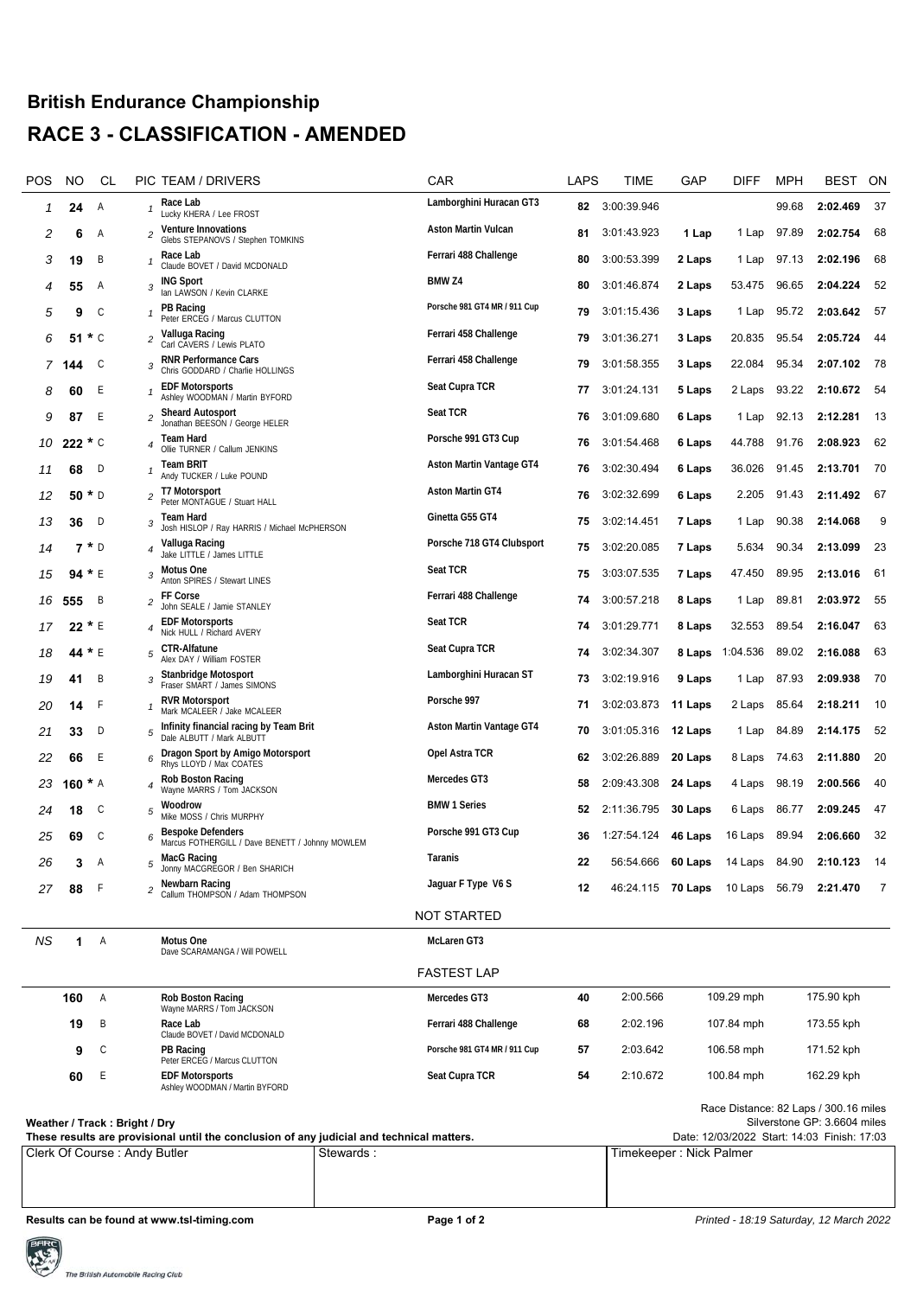## **British Endurance Championship RACE 3 - CLASSIFICATION - AMENDED**

| POS                                                                                                                                                                                                       | NO. |                  | CL |                         | PIC TEAM / DRIVERS                                                          |           | CAR                          | LAPS                    | TIME                                                   | GAP     | DIFF       | <b>MPH</b> | <b>BEST</b>                           | ON             |
|-----------------------------------------------------------------------------------------------------------------------------------------------------------------------------------------------------------|-----|------------------|----|-------------------------|-----------------------------------------------------------------------------|-----------|------------------------------|-------------------------|--------------------------------------------------------|---------|------------|------------|---------------------------------------|----------------|
| 1                                                                                                                                                                                                         | 24  | A                |    |                         | Race Lab<br>Lucky KHERA / Lee FROST                                         |           | Lamborghini Huracan GT3      | 82                      | 3:00:39.946                                            |         |            | 99.68      | 2:02.469                              | 37             |
| 2                                                                                                                                                                                                         | 6   | A                |    | 2                       | <b>Venture Innovations</b><br>Glebs STEPANOVS / Stephen TOMKINS             |           | Aston Martin Vulcan          | 81                      | 3:01:43.923                                            | 1 Lap   | 1 Lap      | 97.89      | 2:02.754                              | 68             |
| 3                                                                                                                                                                                                         | 19  | B                |    |                         | Race Lab<br>Claude BOVET / David MCDONALD                                   |           | Ferrari 488 Challenge        | 80                      | 3:00:53.399                                            | 2 Laps  | 1 Lap      | 97.13      | 2:02.196                              | 68             |
| 4                                                                                                                                                                                                         | 55  | A                |    | 3                       | <b>ING Sport</b><br>Ian LAWSON / Kevin CLARKE                               |           | BMW <sub>Z4</sub>            | 80                      | 3:01:46.874                                            | 2 Laps  | 53.475     | 96.65      | 2:04.224                              | 52             |
| 5                                                                                                                                                                                                         | 9   | C                |    |                         | PB Racing<br>Peter ERCEG / Marcus CLUTTON                                   |           | Porsche 981 GT4 MR / 911 Cup | 79                      | 3:01:15.436                                            | 3 Laps  | 1 Lap      | 95.72      | 2:03.642                              | 57             |
| 6                                                                                                                                                                                                         | 51  | $\star$ C        |    | $\overline{c}$          | Valluga Racing<br>Carl CAVERS / Lewis PLATO                                 |           | Ferrari 458 Challenge        | 79                      | 3:01:36.271                                            | 3 Laps  | 20.835     | 95.54      | 2:05.724                              | 44             |
| 7                                                                                                                                                                                                         | 144 | C                |    | 3                       | <b>RNR Performance Cars</b><br>Chris GODDARD / Charlie HOLLINGS             |           | Ferrari 458 Challenge        | 79                      | 3:01:58.355                                            | 3 Laps  | 22.084     | 95.34      | 2:07.102                              | - 78           |
| 8                                                                                                                                                                                                         | 60  | Е                |    |                         | <b>EDF Motorsports</b><br>Ashley WOODMAN / Martin BYFORD                    |           | Seat Cupra TCR               | 77                      | 3:01:24.131                                            | 5 Laps  | 2 Laps     | 93.22      | 2:10.672                              | -54            |
| 9                                                                                                                                                                                                         | 87  | E                |    | $\overline{\mathbf{c}}$ | <b>Sheard Autosport</b><br>Jonathan BEESON / George HELER                   |           | Seat TCR                     | 76                      | 3:01:09.680                                            | 6 Laps  | 1 Lap      | 92.13      | 2:12.281                              | 13             |
| 10                                                                                                                                                                                                        |     | $222 * C$        |    |                         | Team Hard<br>Ollie TURNER / Callum JENKINS                                  |           | Porsche 991 GT3 Cup          | 76                      | 3:01:54.468                                            | 6 Laps  | 44.788     | 91.76      | 2:08.923                              | 62             |
| 11                                                                                                                                                                                                        | 68  | D                |    |                         | <b>Team BRIT</b><br>Andy TUCKER / Luke POUND                                |           | Aston Martin Vantage GT4     | 76                      | 3:02:30.494                                            | 6 Laps  | 36.026     | 91.45      | 2:13.701                              | -70            |
| 12                                                                                                                                                                                                        |     | 50 $*$ D         |    | 2                       | T7 Motorsport<br>Peter MONTAGUE / Stuart HALL                               |           | Aston Martin GT4             | 76                      | 3:02:32.699                                            | 6 Laps  | 2.205      | 91.43      | 2:11.492                              | - 67           |
| 13                                                                                                                                                                                                        | 36  | D                |    | 3                       | Team Hard<br>Josh HISLOP / Ray HARRIS / Michael McPHERSON                   |           | Ginetta G55 GT4              | 75                      | 3:02:14.451                                            | 7 Laps  | 1 Lap      | 90.38      | 2:14.068                              | 9              |
| 14                                                                                                                                                                                                        |     | $7 * D$          |    | 4                       | Valluga Racing<br>Jake LITTLE / James LITTLE                                |           | Porsche 718 GT4 Clubsport    | 75                      | 3:02:20.085                                            | 7 Laps  | 5.634      | 90.34      | 2:13.099                              | 23             |
| 15                                                                                                                                                                                                        |     | 94 $* E$         |    | 3                       | Motus One<br>Anton SPIRES / Stewart LINES                                   |           | <b>Seat TCR</b>              | 75                      | 3:03:07.535                                            | 7 Laps  | 47.450     | 89.95      | 2:13.016                              | -61            |
| 16                                                                                                                                                                                                        | 555 | B                |    | 2                       | FF Corse<br>John SEALE / Jamie STANLEY                                      |           | Ferrari 488 Challenge        | 74                      | 3:00:57.218                                            | 8 Laps  | 1 Lap      | 89.81      | 2:03.972                              | 55             |
| 17                                                                                                                                                                                                        |     | $22 * E$         |    |                         | <b>EDF Motorsports</b><br>Nick HULL / Richard AVERY                         |           | Seat TCR                     | 74                      | 3:01:29.771                                            | 8 Laps  | 32.553     | 89.54      | 2:16.047                              | 63             |
| 18                                                                                                                                                                                                        |     | 44 * E           |    | 5                       | <b>CTR-Alfatune</b><br>Alex DAY / William FOSTER                            |           | Seat Cupra TCR               | 74                      | 3:02:34.307                                            | 8 Laps  | 1:04.536   | 89.02      | 2:16.088                              | 63             |
| 19                                                                                                                                                                                                        | 41  | B                |    | 3                       | Stanbridge Motosport<br>Fraser SMART / James SIMONS                         |           | Lamborghini Huracan ST       | 73                      | 3:02:19.916                                            | 9 Laps  | 1 Lap      | 87.93      | 2:09.938                              | -70            |
| 20                                                                                                                                                                                                        | 14  | F                |    |                         | <b>RVR Motorsport</b><br>Mark MCALEER / Jake MCALEER                        |           | Porsche 997                  | 71                      | 3:02:03.873                                            | 11 Laps | 2 Laps     | 85.64      | 2:18.211                              | 10             |
| 21                                                                                                                                                                                                        | 33  | D                |    | 5                       | Infinity financial racing by Team Brit<br>Dale ALBUTT / Mark ALBUTT         |           | Aston Martin Vantage GT4     | 70                      | 3:01:05.316                                            | 12 Laps | 1 Lap      | 84.89      | 2:14.175                              | 52             |
| 22                                                                                                                                                                                                        | 66  | E                |    | 6                       | Dragon Sport by Amigo Motorsport<br>Rhys LLOYD / Max COATES                 |           | Opel Astra TCR               | 62                      | 3:02:26.889                                            | 20 Laps | 8 Laps     | 74.63      | 2:11.880                              | 20             |
| 23                                                                                                                                                                                                        | 160 | $* A$            |    |                         | Rob Boston Racing<br>Wayne MARRS / Tom JACKSON                              |           | Mercedes GT3                 | 58                      | 2:09:43.308                                            | 24 Laps | 4 Laps     | 98.19      | 2:00.566                              | 40             |
| 24                                                                                                                                                                                                        | 18  | C                |    | 5                       | Woodrow<br>Mike MOSS / Chris MURPHY                                         |           | <b>BMW 1 Series</b>          | 52                      | 2:11:36.795                                            | 30 Laps | 6 Laps     | 86.77      | 2:09.245                              | 47             |
| 25                                                                                                                                                                                                        | 69  | С                |    | 6                       | <b>Bespoke Defenders</b><br>Marcus FOTHERGILL / Dave BENETT / Johnny MOWLEM |           | Porsche 991 GT3 Cup          | 36                      | 1:27:54.124                                            | 46 Laps | 16 Laps    | 89.94      | 2:06.660                              | 32             |
| 26                                                                                                                                                                                                        | 3   | A                |    |                         | MacG Racing<br>Jonny MACGREGOR / Ben SHARICH                                |           | Taranis                      | 22                      | 56:54.666 <b>60 Laps</b> 14 Laps 84.90                 |         |            |            | 2:10.123                              | 14             |
| 27                                                                                                                                                                                                        |     | 88 F             |    | $\overline{c}$          | Newbarn Racing<br>Callum THOMPSON / Adam THOMPSON                           |           | Jaguar F Type V6 S           | 12                      | 46:24.115 <b>70 Laps</b> 10 Laps 56.79 <b>2:21.470</b> |         |            |            |                                       | $\overline{7}$ |
|                                                                                                                                                                                                           |     |                  |    |                         |                                                                             |           | <b>NOT STARTED</b>           |                         |                                                        |         |            |            |                                       |                |
| ΝS                                                                                                                                                                                                        |     | Α<br>$\mathbf 1$ |    |                         | Motus One<br>Dave SCARAMANGA / Will POWELL                                  |           | McLaren GT3                  |                         |                                                        |         |            |            |                                       |                |
|                                                                                                                                                                                                           |     |                  |    |                         |                                                                             |           | <b>FASTEST LAP</b>           |                         |                                                        |         |            |            |                                       |                |
|                                                                                                                                                                                                           | 160 | Α                |    |                         | Rob Boston Racing<br>Wayne MARRS / Tom JACKSON                              |           | Mercedes GT3                 | 40                      | 2:00.566                                               |         | 109.29 mph |            | 175.90 kph                            |                |
|                                                                                                                                                                                                           | 19  | Β                |    |                         | Race Lab<br>Claude BOVET / David MCDONALD                                   |           | Ferrari 488 Challenge        | 68                      | 2:02.196                                               |         | 107.84 mph |            | 173.55 kph                            |                |
|                                                                                                                                                                                                           | 9   | C                |    |                         | <b>PB Racing</b><br>Peter ERCEG / Marcus CLUTTON                            |           | Porsche 981 GT4 MR / 911 Cup | 57                      | 2:03.642                                               |         | 106.58 mph |            | 171.52 kph                            |                |
|                                                                                                                                                                                                           | 60  | Ε                |    |                         | <b>EDF Motorsports</b><br>Ashley WOODMAN / Martin BYFORD                    |           | Seat Cupra TCR               | 54                      | 2:10.672                                               |         | 100.84 mph |            | 162.29 kph                            |                |
|                                                                                                                                                                                                           |     |                  |    |                         |                                                                             |           |                              |                         |                                                        |         |            |            | Race Distance: 82 Laps / 300.16 miles |                |
| Silverstone GP: 3.6604 miles<br>Weather / Track: Bright / Dry<br>Date: 12/03/2022 Start: 14:03 Finish: 17:03<br>These results are provisional until the conclusion of any judicial and technical matters. |     |                  |    |                         |                                                                             |           |                              |                         |                                                        |         |            |            |                                       |                |
| Clerk Of Course: Andy Butler                                                                                                                                                                              |     |                  |    |                         |                                                                             | Stewards: |                              | Timekeeper: Nick Palmer |                                                        |         |            |            |                                       |                |
|                                                                                                                                                                                                           |     |                  |    |                         |                                                                             |           |                              |                         |                                                        |         |            |            |                                       |                |
|                                                                                                                                                                                                           |     |                  |    |                         |                                                                             |           |                              |                         |                                                        |         |            |            |                                       |                |

**Results can be found at www.tsl-timing.com <br>
Page 1 of 2 <b>Printed - 18:19 Saturday, 12 March 2022**